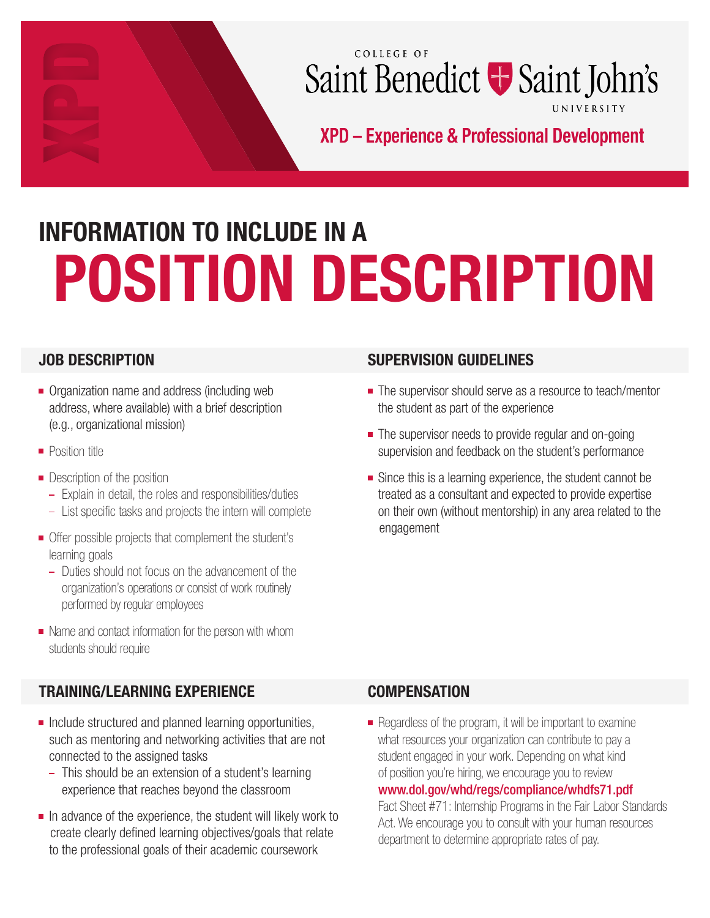# COLLEGE OF Saint Benedict + Saint John's UNIVERSITY

XPD - Experience & Professional Development

# POSITION DESCRIPTION INFORMATION TO INCLUDE IN A

# JOB DESCRIPTION

- **Organization name and address (including web** address, where available) with a brief description (e.g., organizational mission)
- **Position title**
- **Description of the position** 
	- Explain in detail, the roles and responsibilities/duties
	- List specific tasks and projects the intern will complete
- Offer possible projects that complement the student's learning goals
	- Duties should not focus on the advancement of the organization's operations or consist of work routinely performed by regular employees
- Name and contact information for the person with whom students should require

# TRAINING/LEARNING EXPERIENCE

- $\blacksquare$  Include structured and planned learning opportunities, such as mentoring and networking activities that are not connected to the assigned tasks
	- This should be an extension of a student's learning experience that reaches beyond the classroom
- $\blacksquare$  In advance of the experience, the student will likely work to create clearly defined learning objectives/goals that relate to the professional goals of their academic coursework

# SUPERVISION GUIDELINES

- The supervisor should serve as a resource to teach/mentor the student as part of the experience
- The supervisor needs to provide regular and on-going supervision and feedback on the student's performance
- Since this is a learning experience, the student cannot be treated as a consultant and expected to provide expertise on their own (without mentorship) in any area related to the engagement

# **COMPENSATION**

Regardless of the program, it will be important to examine what resources your organization can contribute to pay a student engaged in your work. Depending on what kind of position you're hiring, we encourage you to review www.dol.gov/whd/regs/compliance/whdfs71.pdf

Fact Sheet #71: Internship Programs in the Fair Labor Standards Act. We encourage you to consult with your human resources department to determine appropriate rates of pay.